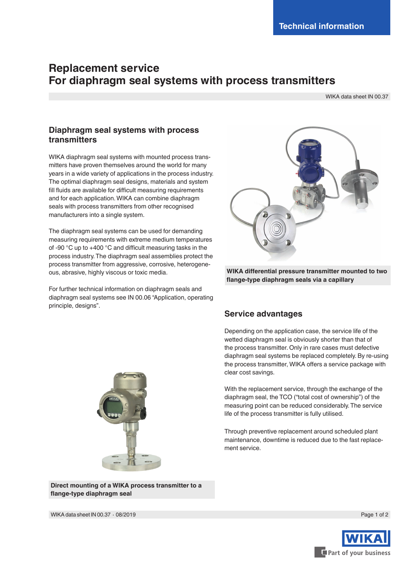# **Replacement service For diaphragm seal systems with process transmitters**

WIKA data sheet IN 00.37

#### **Diaphragm seal systems with process transmitters**

WIKA diaphragm seal systems with mounted process transmitters have proven themselves around the world for many years in a wide variety of applications in the process industry. The optimal diaphragm seal designs, materials and system fill fluids are available for difficult measuring requirements and for each application. WIKA can combine diaphragm seals with process transmitters from other recognised manufacturers into a single system.

The diaphragm seal systems can be used for demanding measuring requirements with extreme medium temperatures of -90 °C up to +400 °C and difficult measuring tasks in the process industry. The diaphragm seal assemblies protect the process transmitter from aggressive, corrosive, heterogeneous, abrasive, highly viscous or toxic media.

For further technical information on diaphragm seals and diaphragm seal systems see IN 00.06 "Application, operating principle, designs".



**WIKA differential pressure transmitter mounted to two flange-type diaphragm seals via a capillary**

#### **Service advantages**

Depending on the application case, the service life of the wetted diaphragm seal is obviously shorter than that of the process transmitter. Only in rare cases must defective diaphragm seal systems be replaced completely. By re-using the process transmitter, WIKA offers a service package with clear cost savings.

With the replacement service, through the exchange of the diaphragm seal, the TCO ("total cost of ownership") of the measuring point can be reduced considerably. The service life of the process transmitter is fully utilised.

Through preventive replacement around scheduled plant maintenance, downtime is reduced due to the fast replacement service.



**Direct mounting of a WIKA process transmitter to a flange-type diaphragm seal**

Page 1 of 2



WIKA data sheet IN 00.37 ∙ 08/2019